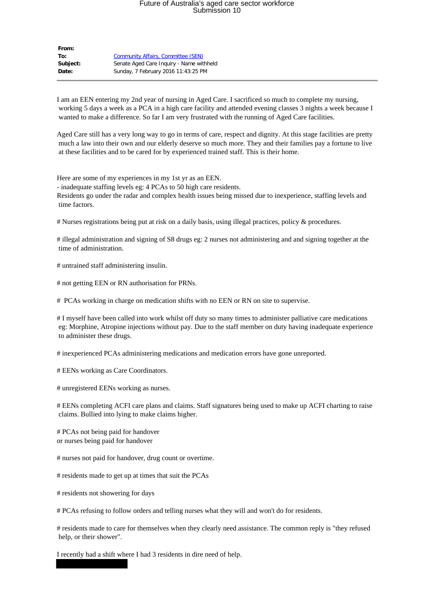## Future of Australia's aged care sector workforce Submission 10

| From:        |                                           |
|--------------|-------------------------------------------|
| To:          | <b>Community Affairs, Committee (SEN)</b> |
| Subject:     | Senate Aged Care Inguiry - Name withheld  |
| <b>Date:</b> | Sunday, 7 February 2016 11:43:25 PM       |

I am an EEN entering my 2nd year of nursing in Aged Care. I sacrificed so much to complete my nursing, working 5 days a week as a PCA in a high care facility and attended evening classes 3 nights a week because I wanted to make a difference. So far I am very frustrated with the running of Aged Care facilities.

Aged Care still has a very long way to go in terms of care, respect and dignity. At this stage facilities are pretty much a law into their own and our elderly deserve so much more. They and their families pay a fortune to live at these facilities and to be cared for by experienced trained staff. This is their home.

Here are some of my experiences in my 1st yr as an EEN.

- inadequate staffing levels eg: 4 PCAs to 50 high care residents. Residents go under the radar and complex health issues being missed due to inexperience, staffing levels and time factors.

# Nurses registrations being put at risk on a daily basis, using illegal practices, policy & procedures.

# illegal administration and signing of S8 drugs eg: 2 nurses not administering and and signing together at the time of administration.

# untrained staff administering insulin.

# not getting EEN or RN authorisation for PRNs.

# PCAs working in charge on medication shifts with no EEN or RN on site to supervise.

# I myself have been called into work whilst off duty so many times to administer palliative care medications eg: Morphine, Atropine injections without pay. Due to the staff member on duty having inadequate experience to administer these drugs.

# inexperienced PCAs administering medications and medication errors have gone unreported.

# EENs working as Care Coordinators.

# unregistered EENs working as nurses.

# EENs completing ACFI care plans and claims. Staff signatures being used to make up ACFI charting to raise claims. Bullied into lying to make claims higher.

# PCAs not being paid for handover or nurses being paid for handover

# nurses not paid for handover, drug count or overtime.

# residents made to get up at times that suit the PCAs

# residents not showering for days

# PCAs refusing to follow orders and telling nurses what they will and won't do for residents.

# residents made to care for themselves when they clearly need assistance. The common reply is "they refused help, or their shower".

I recently had a shift where I had 3 residents in dire need of help.